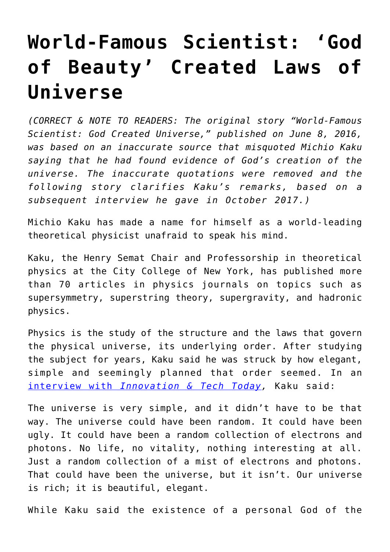## **[World-Famous Scientist: 'God](https://intellectualtakeout.org/2016/06/world-famous-scientist-god-of-beauty-created-laws-of-universe/) [of Beauty' Created Laws of](https://intellectualtakeout.org/2016/06/world-famous-scientist-god-of-beauty-created-laws-of-universe/) [Universe](https://intellectualtakeout.org/2016/06/world-famous-scientist-god-of-beauty-created-laws-of-universe/)**

*(CORRECT & NOTE TO READERS: The original story "World-Famous Scientist: God Created Universe," published on June 8, 2016, was based on an inaccurate source that misquoted Michio Kaku saying that he had found evidence of God's creation of the universe. The inaccurate quotations were removed and the following story clarifies Kaku's remarks, based on a subsequent interview he gave in October 2017.)*

Michio Kaku has made a name for himself as a world-leading theoretical physicist unafraid to speak his mind.

Kaku, the Henry Semat Chair and Professorship in theoretical physics at the City College of New York, has published more than 70 articles in physics journals on topics such as supersymmetry, superstring theory, supergravity, and hadronic physics.

Physics is the study of the structure and the laws that govern the physical universe, its underlying order. After studying the subject for years, Kaku said he was struck by how elegant, simple and seemingly planned that order seemed. In an [interview with](https://innotechtoday.com/michio-kaku-clears-god-discovery/) *[Innovation & Tech Today](https://innotechtoday.com/michio-kaku-clears-god-discovery/),* Kaku said:

The universe is very simple, and it didn't have to be that way. The universe could have been random. It could have been ugly. It could have been a random collection of electrons and photons. No life, no vitality, nothing interesting at all. Just a random collection of a mist of electrons and photons. That could have been the universe, but it isn't. Our universe is rich; it is beautiful, elegant.

While Kaku said the existence of a personal God of the